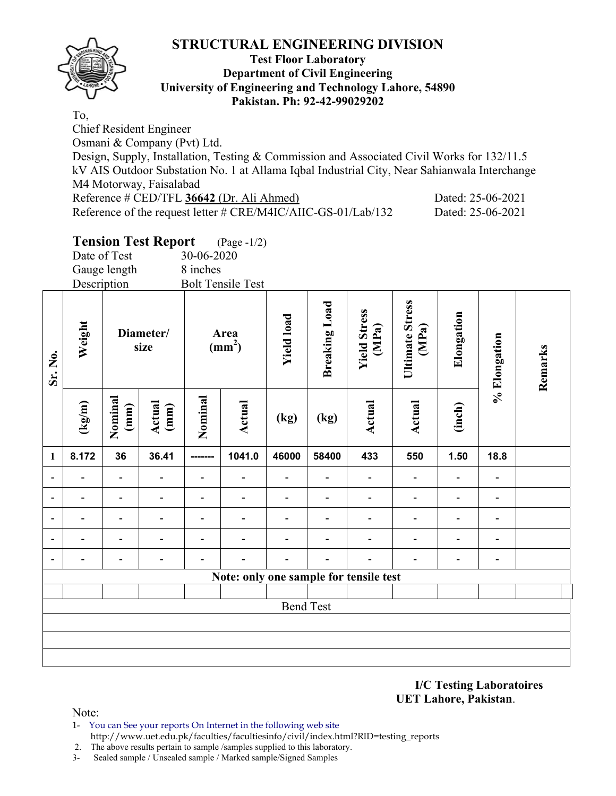

#### **Test Floor Laboratory Department of Civil Engineering University of Engineering and Technology Lahore, 54890 Pakistan. Ph: 92-42-99029202**

To, Chief Resident Engineer Osmani & Company (Pvt) Ltd. Design, Supply, Installation, Testing & Commission and Associated Civil Works for 132/11.5 kV AIS Outdoor Substation No. 1 at Allama Iqbal Industrial City, Near Sahianwala Interchange M4 Motorway, Faisalabad Reference # CED/TFL **36642** (Dr. Ali Ahmed) Dated: 25-06-2021 Reference of the request letter # CRE/M4IC/AIIC-GS-01/Lab/132 Dated: 25-06-2021

## **Tension Test Report** (Page -1/2)

Date of Test 30-06-2020 Gauge length 8 inches<br>Description Bolt Ten **Bolt Tensile Test** 

| Sr. No.                  | Description<br>Weight | Diameter/<br>size |                |         | Area<br>$(mm2)$                        |                          | <b>Breaking Load</b> | <b>Yield Stress</b><br>(MPa) | Ultimate Stress<br>(MPa) | Elongation | % Elongation                 | Remarks |
|--------------------------|-----------------------|-------------------|----------------|---------|----------------------------------------|--------------------------|----------------------|------------------------------|--------------------------|------------|------------------------------|---------|
|                          | (kg/m)                | Nominal<br>(mm)   | Actual<br>(mm) | Nominal | Actual                                 | (kg)                     | (kg)                 | Actual                       | Actual                   | (inch)     |                              |         |
| $\mathbf{1}$             | 8.172                 | 36                | 36.41          |         | 1041.0                                 | 46000                    | 58400                | 433                          | 550                      | 1.50       | 18.8                         |         |
| $\blacksquare$           |                       |                   |                |         | $\overline{\phantom{a}}$               | $\overline{\phantom{a}}$ |                      | $\overline{\phantom{a}}$     |                          |            |                              |         |
| $\overline{\phantom{a}}$ |                       |                   |                |         |                                        |                          |                      |                              |                          |            |                              |         |
| $\overline{\phantom{a}}$ |                       |                   |                |         |                                        |                          |                      |                              |                          |            |                              |         |
| $\overline{\phantom{a}}$ |                       |                   |                |         |                                        |                          |                      |                              |                          |            |                              |         |
| $\overline{\phantom{a}}$ |                       |                   |                |         |                                        |                          |                      |                              |                          |            | $\qquad \qquad \blacksquare$ |         |
|                          |                       |                   |                |         | Note: only one sample for tensile test |                          |                      |                              |                          |            |                              |         |
|                          |                       |                   |                |         |                                        |                          |                      |                              |                          |            |                              |         |
|                          |                       |                   |                |         |                                        | <b>Bend Test</b>         |                      |                              |                          |            |                              |         |
|                          |                       |                   |                |         |                                        |                          |                      |                              |                          |            |                              |         |
|                          |                       |                   |                |         |                                        |                          |                      |                              |                          |            |                              |         |
|                          |                       |                   |                |         |                                        |                          |                      |                              |                          |            |                              |         |

**I/C Testing Laboratoires UET Lahore, Pakistan**.

Note:

- 1- You can See your reports On Internet in the following web site http://www.uet.edu.pk/faculties/facultiesinfo/civil/index.html?RID=testing\_reports
- 2. The above results pertain to sample /samples supplied to this laboratory.
- 3- Sealed sample / Unsealed sample / Marked sample/Signed Samples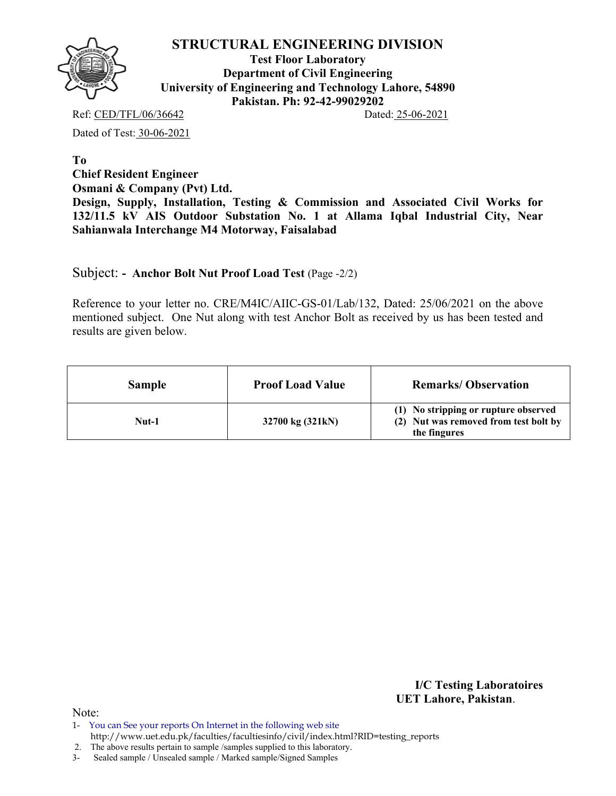

**Test Floor Laboratory Department of Civil Engineering University of Engineering and Technology Lahore, 54890 Pakistan. Ph: 92-42-99029202** 

Ref: CED/TFL/06/36642 Dated: 25-06-2021

Dated of Test: 30-06-2021

**To Chief Resident Engineer Osmani & Company (Pvt) Ltd. Design, Supply, Installation, Testing & Commission and Associated Civil Works for 132/11.5 kV AIS Outdoor Substation No. 1 at Allama Iqbal Industrial City, Near Sahianwala Interchange M4 Motorway, Faisalabad** 

Subject: **- Anchor Bolt Nut Proof Load Test** (Page -2/2)

Reference to your letter no. CRE/M4IC/AIIC-GS-01/Lab/132, Dated: 25/06/2021 on the above mentioned subject. One Nut along with test Anchor Bolt as received by us has been tested and results are given below.

| <b>Sample</b> | <b>Proof Load Value</b> | <b>Remarks/Observation</b>                                                                    |
|---------------|-------------------------|-----------------------------------------------------------------------------------------------|
| Nut-1         | 32700 kg (321kN)        | (1) No stripping or rupture observed<br>(2) Nut was removed from test bolt by<br>the fingures |

**I/C Testing Laboratoires UET Lahore, Pakistan**.

Note:

2. The above results pertain to sample /samples supplied to this laboratory.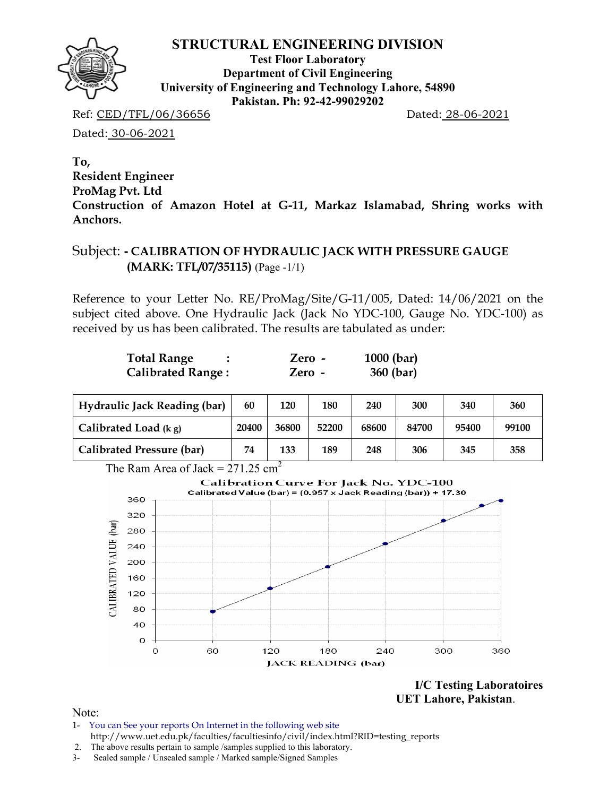

**Test Floor Laboratory Department of Civil Engineering University of Engineering and Technology Lahore, 54890 Pakistan. Ph: 92-42-99029202** 

Ref: CED/TFL/06/36656 Dated: 28-06-2021

Dated: 30-06-2021

**To, Resident Engineer ProMag Pvt. Ltd Construction of Amazon Hotel at G-11, Markaz Islamabad, Shring works with Anchors.** 

### Subject: **- CALIBRATION OF HYDRAULIC JACK WITH PRESSURE GAUGE (MARK: TFL/07/35115)** (Page -1/1)

Reference to your Letter No. RE/ProMag/Site/G-11/005, Dated: 14/06/2021 on the subject cited above. One Hydraulic Jack (Jack No YDC-100, Gauge No. YDC-100) as received by us has been calibrated. The results are tabulated as under:

| <b>Total Range</b>       | Zero - | $1000$ (bar) |
|--------------------------|--------|--------------|
| <b>Calibrated Range:</b> | Zero - | 360 (bar)    |

| <b>Hydraulic Jack Reading (bar)</b> | 60    | 120   | 180   | 240   | 300   | 340   | 360   |
|-------------------------------------|-------|-------|-------|-------|-------|-------|-------|
| Calibrated Load $(kg)$              | 20400 | 36800 | 52200 | 68600 | 84700 | 95400 | 99100 |
| <b>Calibrated Pressure (bar)</b>    | 74    | 133   | 189   | 248   | 306   | 345   | 358   |

The Ram Area of Jack  $= 271.25$  cm<sup>2</sup>



**I/C Testing Laboratoires UET Lahore, Pakistan**.

Note:

- 1- You can See your reports On Internet in the following web site http://www.uet.edu.pk/faculties/facultiesinfo/civil/index.html?RID=testing\_reports
- 2. The above results pertain to sample /samples supplied to this laboratory.
- 3- Sealed sample / Unsealed sample / Marked sample/Signed Samples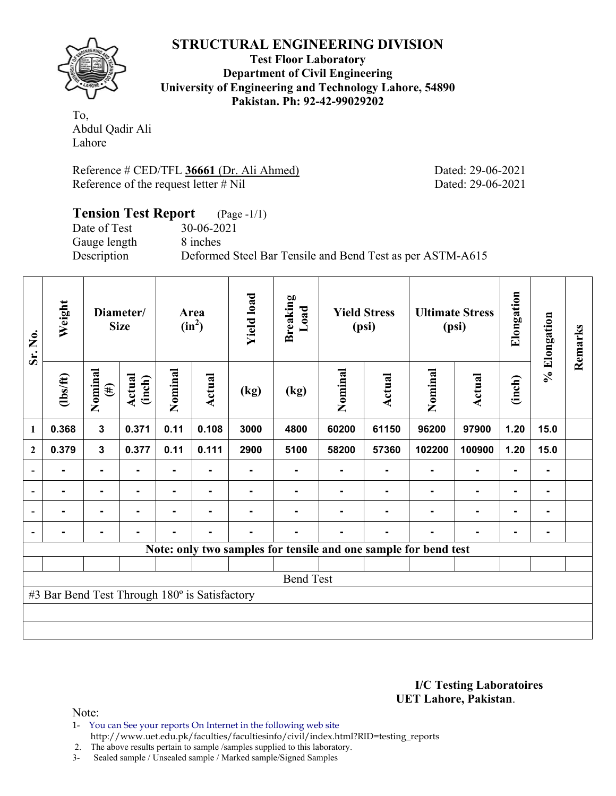

**Test Floor Laboratory Department of Civil Engineering University of Engineering and Technology Lahore, 54890 Pakistan. Ph: 92-42-99029202** 

To, Abdul Qadir Ali Lahore

Reference # CED/TFL **36661** (Dr. Ali Ahmed) Dated: 29-06-2021 Reference of the request letter # Nil Dated: 29-06-2021

#### **Tension Test Report** (Page -1/1) Date of Test 30-06-2021 Gauge length 8 inches Description Deformed Steel Bar Tensile and Bend Test as per ASTM-A615

| Sr. No.                  | Weight                                        | Diameter/<br><b>Size</b> |                  | Area<br>$(in^2)$ |        | <b>Yield load</b> | <b>Breaking</b><br>Load                                         | <b>Yield Stress</b><br>(psi) |               | <b>Ultimate Stress</b><br>(psi) |               | Elongation | % Elongation | Remarks |
|--------------------------|-----------------------------------------------|--------------------------|------------------|------------------|--------|-------------------|-----------------------------------------------------------------|------------------------------|---------------|---------------------------------|---------------|------------|--------------|---------|
|                          | $\frac{2}{10}$                                | Nominal<br>$(\#)$        | Actual<br>(inch) | Nominal          | Actual | (kg)              | (kg)                                                            | Nominal                      | <b>Actual</b> | Nominal                         | <b>Actual</b> | (inch)     |              |         |
| 1                        | 0.368                                         | $\mathbf{3}$             | 0.371            | 0.11             | 0.108  | 3000              | 4800                                                            | 60200                        | 61150         | 96200                           | 97900         | 1.20       | 15.0         |         |
| $\mathbf{2}$             | 0.379                                         | $\mathbf{3}$             | 0.377            | 0.11             | 0.111  | 2900              | 5100                                                            | 58200                        | 57360         | 102200                          | 100900        | 1.20       | 15.0         |         |
| $\blacksquare$           |                                               | $\blacksquare$           |                  | $\blacksquare$   | ۰      |                   |                                                                 |                              |               |                                 | ٠             |            | Ξ.           |         |
| $\overline{\phantom{a}}$ |                                               |                          |                  |                  |        |                   |                                                                 |                              |               |                                 |               |            | ۰            |         |
| $\overline{\phantom{a}}$ |                                               |                          |                  |                  |        |                   |                                                                 |                              |               |                                 |               |            | ۰            |         |
| $\overline{\phantom{a}}$ |                                               |                          |                  |                  |        |                   |                                                                 |                              | -             |                                 |               |            | ۰            |         |
|                          |                                               |                          |                  |                  |        |                   | Note: only two samples for tensile and one sample for bend test |                              |               |                                 |               |            |              |         |
|                          |                                               |                          |                  |                  |        |                   |                                                                 |                              |               |                                 |               |            |              |         |
|                          |                                               |                          |                  |                  |        |                   | <b>Bend Test</b>                                                |                              |               |                                 |               |            |              |         |
|                          | #3 Bar Bend Test Through 180° is Satisfactory |                          |                  |                  |        |                   |                                                                 |                              |               |                                 |               |            |              |         |
|                          |                                               |                          |                  |                  |        |                   |                                                                 |                              |               |                                 |               |            |              |         |
|                          |                                               |                          |                  |                  |        |                   |                                                                 |                              |               |                                 |               |            |              |         |

**I/C Testing Laboratoires UET Lahore, Pakistan**.

Note:

1- You can See your reports On Internet in the following web site http://www.uet.edu.pk/faculties/facultiesinfo/civil/index.html?RID=testing\_reports

2. The above results pertain to sample /samples supplied to this laboratory.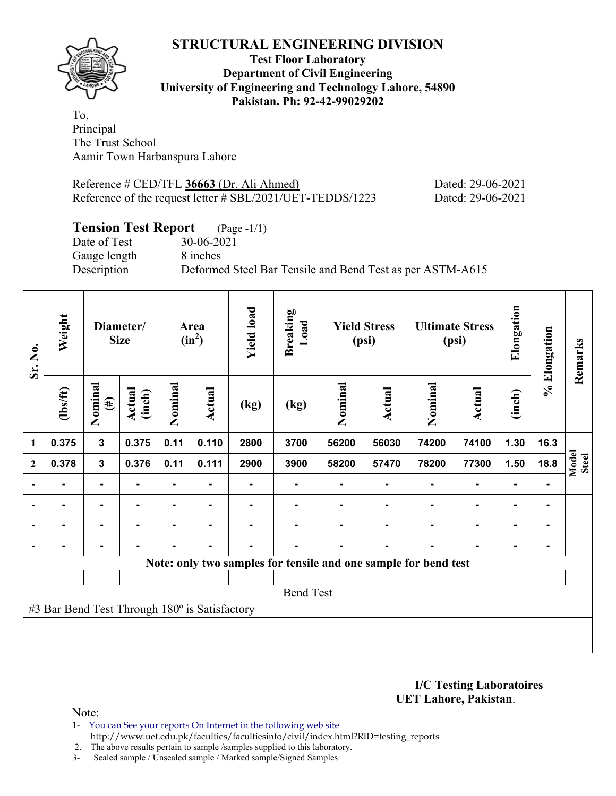

#### **Test Floor Laboratory Department of Civil Engineering University of Engineering and Technology Lahore, 54890 Pakistan. Ph: 92-42-99029202**

To, Principal The Trust School Aamir Town Harbanspura Lahore

Reference # CED/TFL **36663** (Dr. Ali Ahmed) Dated: 29-06-2021 Reference of the request letter # SBL/2021/UET-TEDDS/1223 Dated: 29-06-2021

### **Tension Test Report** (Page -1/1)

Gauge length 8 inches

Date of Test 30-06-2021 Description Deformed Steel Bar Tensile and Bend Test as per ASTM-A615

| Sr. No.        | Weight                                        | Diameter/<br><b>Size</b> |                  | Area<br>$(in^2)$ |        | <b>Yield load</b> | <b>Breaking</b><br>Load                                         | <b>Yield Stress</b><br>(psi) |                | <b>Ultimate Stress</b><br>(psi) |                | Elongation     | % Elongation | Remarks               |
|----------------|-----------------------------------------------|--------------------------|------------------|------------------|--------|-------------------|-----------------------------------------------------------------|------------------------------|----------------|---------------------------------|----------------|----------------|--------------|-----------------------|
|                | $\frac{2}{10}$                                | Nominal<br>$(\#)$        | Actual<br>(inch) | Nominal          | Actual | (kg)              | (kg)                                                            | Nominal                      | Actual         | Nominal                         | <b>Actual</b>  | (inch)         |              |                       |
| 1              | 0.375                                         | $\mathbf{3}$             | 0.375            | 0.11             | 0.110  | 2800              | 3700                                                            | 56200                        | 56030          | 74200                           | 74100          | 1.30           | 16.3         |                       |
| $\mathbf{2}$   | 0.378                                         | $\mathbf{3}$             | 0.376            | 0.11             | 0.111  | 2900              | 3900                                                            | 58200                        | 57470          | 78200                           | 77300          | 1.50           | 18.8         | Model<br><b>Steel</b> |
| $\overline{a}$ |                                               | ۰                        |                  |                  |        |                   |                                                                 |                              |                |                                 |                | $\blacksquare$ |              |                       |
|                |                                               | $\blacksquare$           | -                |                  | ٠      |                   |                                                                 |                              |                |                                 | $\blacksquare$ | $\blacksquare$ | ۰            |                       |
|                | $\blacksquare$                                | ۰                        |                  |                  | ٠      |                   |                                                                 |                              |                |                                 | $\blacksquare$ | ۰              | ٠            |                       |
|                |                                               | $\blacksquare$           |                  |                  | ٠      | ۰                 |                                                                 |                              | $\blacksquare$ |                                 | $\blacksquare$ | ۰              | ۰            |                       |
|                |                                               |                          |                  |                  |        |                   | Note: only two samples for tensile and one sample for bend test |                              |                |                                 |                |                |              |                       |
|                |                                               |                          |                  |                  |        |                   |                                                                 |                              |                |                                 |                |                |              |                       |
|                |                                               |                          |                  |                  |        |                   | <b>Bend Test</b>                                                |                              |                |                                 |                |                |              |                       |
|                | #3 Bar Bend Test Through 180° is Satisfactory |                          |                  |                  |        |                   |                                                                 |                              |                |                                 |                |                |              |                       |
|                |                                               |                          |                  |                  |        |                   |                                                                 |                              |                |                                 |                |                |              |                       |
|                |                                               |                          |                  |                  |        |                   |                                                                 |                              |                |                                 |                |                |              |                       |

**I/C Testing Laboratoires UET Lahore, Pakistan**.

Note:

- 1- You can See your reports On Internet in the following web site http://www.uet.edu.pk/faculties/facultiesinfo/civil/index.html?RID=testing\_reports
- 2. The above results pertain to sample /samples supplied to this laboratory.
- 3- Sealed sample / Unsealed sample / Marked sample/Signed Samples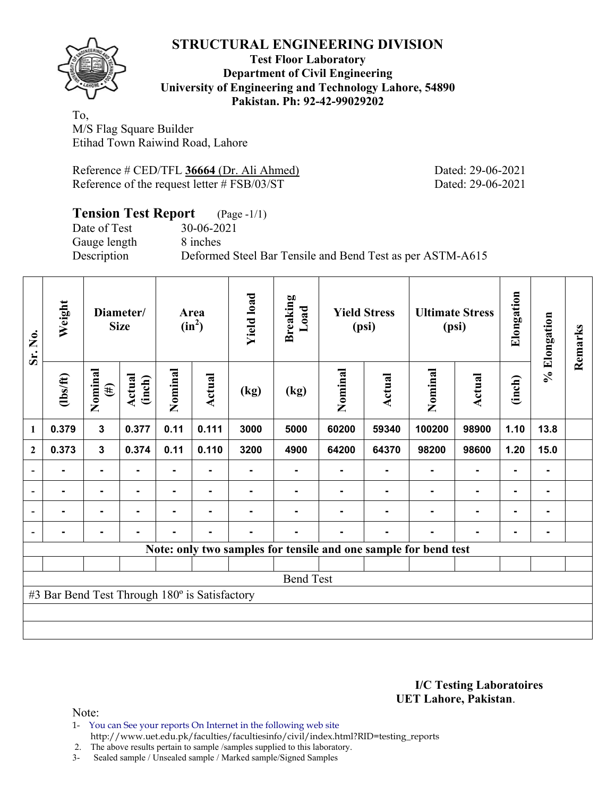

#### **Test Floor Laboratory Department of Civil Engineering University of Engineering and Technology Lahore, 54890 Pakistan. Ph: 92-42-99029202**

To, M/S Flag Square Builder Etihad Town Raiwind Road, Lahore

| Reference # CED/TFL 36664 (Dr. Ali Ahmed)      |
|------------------------------------------------|
| Reference of the request letter $\#$ FSB/03/ST |

Dated: 29-06-2021 Dated: 29-06-2021

| <b>Tension Test Report</b> (Page -1/1) |                                                           |
|----------------------------------------|-----------------------------------------------------------|
| Date of Test                           | 30-06-2021                                                |
| Gauge length                           | 8 inches                                                  |
| Description                            | Deformed Steel Bar Tensile and Bend Test as per ASTM-A615 |

| Sr. No.                  | Weight                                        | Diameter/<br><b>Size</b> |                  | Area<br>$(in^2)$ |                | <b>Yield load</b> | <b>Breaking</b><br>Load | <b>Yield Stress</b><br>(psi) |        |                                                                 | <b>Ultimate Stress</b><br>(psi) | Elongation               | % Elongation | Remarks |
|--------------------------|-----------------------------------------------|--------------------------|------------------|------------------|----------------|-------------------|-------------------------|------------------------------|--------|-----------------------------------------------------------------|---------------------------------|--------------------------|--------------|---------|
|                          | $\frac{2}{10}$                                | Nominal<br>$(\#)$        | Actual<br>(inch) | Nominal          | Actual         | (kg)              | (kg)                    | Nominal                      | Actual | Nominal                                                         | <b>Actual</b>                   | (inch)                   |              |         |
| 1                        | 0.379                                         | $\mathbf{3}$             | 0.377            | 0.11             | 0.111          | 3000              | 5000                    | 60200                        | 59340  | 100200                                                          | 98900                           | 1.10                     | 13.8         |         |
| $\mathbf{2}$             | 0.373                                         | $\mathbf 3$              | 0.374            | 0.11             | 0.110          | 3200              | 4900                    | 64200                        | 64370  | 98200                                                           | 98600                           | 1.20                     | 15.0         |         |
|                          |                                               |                          |                  |                  |                |                   |                         |                              |        |                                                                 |                                 |                          | -            |         |
| $\overline{\phantom{0}}$ |                                               | $\blacksquare$           |                  |                  |                |                   |                         |                              |        |                                                                 |                                 |                          | ۰            |         |
|                          |                                               | $\blacksquare$           |                  |                  | $\blacksquare$ |                   |                         |                              |        |                                                                 |                                 | $\overline{\phantom{0}}$ | ۰            |         |
|                          | $\blacksquare$                                | $\blacksquare$           | $\blacksquare$   | $\blacksquare$   | ۰              | -                 | $\blacksquare$          |                              | ۰      |                                                                 |                                 |                          | ۰            |         |
|                          |                                               |                          |                  |                  |                |                   |                         |                              |        | Note: only two samples for tensile and one sample for bend test |                                 |                          |              |         |
|                          |                                               |                          |                  |                  |                |                   |                         |                              |        |                                                                 |                                 |                          |              |         |
|                          |                                               |                          |                  |                  |                |                   | <b>Bend Test</b>        |                              |        |                                                                 |                                 |                          |              |         |
|                          | #3 Bar Bend Test Through 180° is Satisfactory |                          |                  |                  |                |                   |                         |                              |        |                                                                 |                                 |                          |              |         |
|                          |                                               |                          |                  |                  |                |                   |                         |                              |        |                                                                 |                                 |                          |              |         |
|                          |                                               |                          |                  |                  |                |                   |                         |                              |        |                                                                 |                                 |                          |              |         |

**I/C Testing Laboratoires UET Lahore, Pakistan**.

Note:

1- You can See your reports On Internet in the following web site http://www.uet.edu.pk/faculties/facultiesinfo/civil/index.html?RID=testing\_reports

2. The above results pertain to sample /samples supplied to this laboratory.